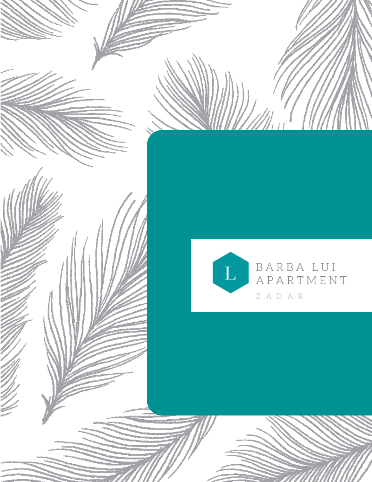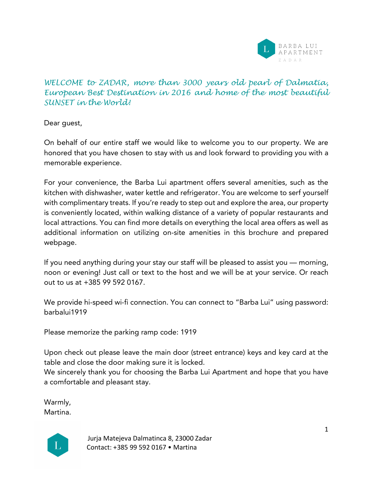

# *WELCOME to ZADAR, more than 3000 years old pearl of Dalmatia, European Best Destination in 2016 and home of the most beautiful SUNSET in the World!*

Dear guest,

On behalf of our entire staff we would like to welcome you to our property. We are honored that you have chosen to stay with us and look forward to providing you with a memorable experience.

For your convenience, the Barba Lui apartment offers several amenities, such as the kitchen with dishwasher, water kettle and refrigerator. You are welcome to serf yourself with complimentary treats. If you're ready to step out and explore the area, our property is conveniently located, within walking distance of a variety of popular restaurants and local attractions. You can find more details on everything the local area offers as well as additional information on utilizing on-site amenities in this brochure and prepared webpage.

If you need anything during your stay our staff will be pleased to assist you — morning, noon or evening! Just call or text to the host and we will be at your service. Or reach out to us at +385 99 592 0167.

We provide hi-speed wi-fi connection. You can connect to "Barba Lui" using password: barbalui1919

Please memorize the parking ramp code: 1919

Upon check out please leave the main door (street entrance) keys and key card at the table and close the door making sure it is locked.

We sincerely thank you for choosing the Barba Lui Apartment and hope that you have a comfortable and pleasant stay.

Warmly, Martina.

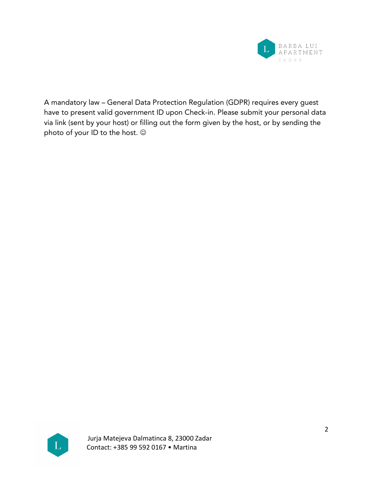

A mandatory law – General Data Protection Regulation (GDPR) requires every guest have to present valid government ID upon Check-in. Please submit your personal data via link (sent by your host) or filling out the form given by the host, or by sending the photo of your ID to the host.  $\odot$ 

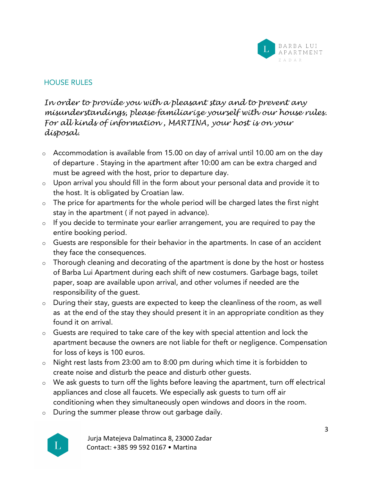

# HOUSE RULES

*In order to provide you with a pleasant stay and to prevent any misunderstandings, please familiarize yourself with our house rules. For all kinds of information , MARTINA, your host is on your disposal.*

- o Accommodation is available from 15.00 on day of arrival until 10.00 am on the day of departure . Staying in the apartment after 10:00 am can be extra charged and must be agreed with the host, prior to departure day.
- o Upon arrival you should fill in the form about your personal data and provide it to the host. It is obligated by Croatian law.
- $\circ$  The price for apartments for the whole period will be charged lates the first night stay in the apartment ( if not payed in advance).
- o If you decide to terminate your earlier arrangement, you are required to pay the entire booking period.
- o Guests are responsible for their behavior in the apartments. In case of an accident they face the consequences.
- o Thorough cleaning and decorating of the apartment is done by the host or hostess of Barba Lui Apartment during each shift of new costumers. Garbage bags, toilet paper, soap are available upon arrival, and other volumes if needed are the responsibility of the guest.
- o During their stay, guests are expected to keep the cleanliness of the room, as well as at the end of the stay they should present it in an appropriate condition as they found it on arrival.
- o Guests are required to take care of the key with special attention and lock the apartment because the owners are not liable for theft or negligence. Compensation for loss of keys is 100 euros.
- o Night rest lasts from 23:00 am to 8:00 pm during which time it is forbidden to create noise and disturb the peace and disturb other guests.
- o We ask guests to turn off the lights before leaving the apartment, turn off electrical appliances and close all faucets. We especially ask guests to turn off air conditioning when they simultaneously open windows and doors in the room.
- o During the summer please throw out garbage daily.

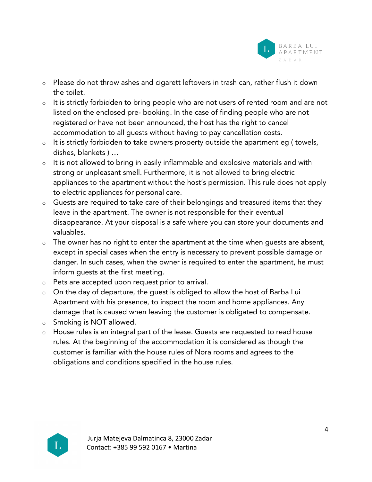

- o Please do not throw ashes and cigarett leftovers in trash can, rather flush it down the toilet.
- o It is strictly forbidden to bring people who are not users of rented room and are not listed on the enclosed pre- booking. In the case of finding people who are not registered or have not been announced, the host has the right to cancel accommodation to all guests without having to pay cancellation costs.
- o It is strictly forbidden to take owners property outside the apartment eg ( towels, dishes, blankets ) …
- o It is not allowed to bring in easily inflammable and explosive materials and with strong or unpleasant smell. Furthermore, it is not allowed to bring electric appliances to the apartment without the host's permission. This rule does not apply to electric appliances for personal care.
- o Guests are required to take care of their belongings and treasured items that they leave in the apartment. The owner is not responsible for their eventual disappearance. At your disposal is a safe where you can store your documents and valuables.
- $\circ$  The owner has no right to enter the apartment at the time when guests are absent, except in special cases when the entry is necessary to prevent possible damage or danger. In such cases, when the owner is required to enter the apartment, he must inform guests at the first meeting.
- o Pets are accepted upon request prior to arrival.
- o On the day of departure, the guest is obliged to allow the host of Barba Lui Apartment with his presence, to inspect the room and home appliances. Any damage that is caused when leaving the customer is obligated to compensate.
- o Smoking is NOT allowed.
- o House rules is an integral part of the lease. Guests are requested to read house rules. At the beginning of the accommodation it is considered as though the customer is familiar with the house rules of Nora rooms and agrees to the obligations and conditions specified in the house rules.

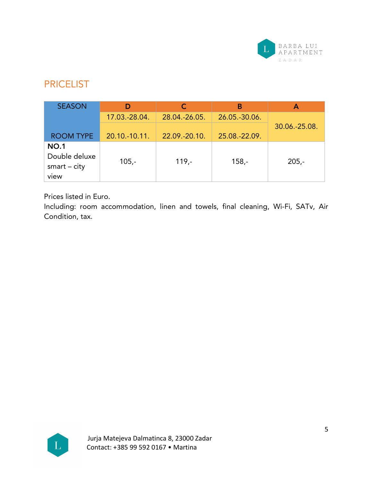

# **PRICELIST**

| <b>SEASON</b>                                          |                   |               | В             |               |
|--------------------------------------------------------|-------------------|---------------|---------------|---------------|
|                                                        | 17.03.-28.04.     | 28.04.-26.05. | 26.05.-30.06. |               |
| <b>ROOM TYPE</b>                                       | $20.10 - 10.11$ . | 22.09.-20.10. | 25.08.-22.09. | 30.06.-25.08. |
| <b>NO.1</b><br>Double deluxe<br>$smart - city$<br>view | $105,-$           | $119. -$      | $158,-$       | $205 -$       |

Prices listed in Euro.

Including: room accommodation, linen and towels, final cleaning, Wi-Fi, SATv, Air Condition, tax.

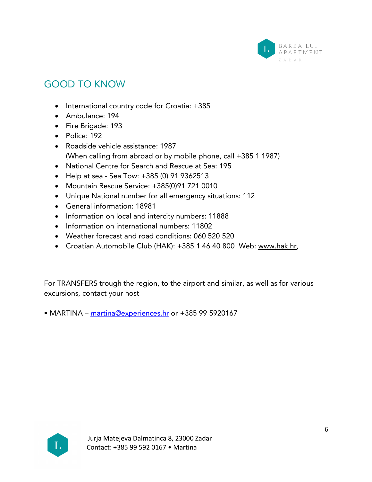

# GOOD TO KNOW

- International country code for Croatia: +385
- Ambulance: 194
- Fire Brigade: 193
- Police: 192
- Roadside vehicle assistance: 1987 (When calling from abroad or by mobile phone, call +385 1 1987)
- National Centre for Search and Rescue at Sea: 195
- Help at sea Sea Tow: +385 (0) 91 9362513
- Mountain Rescue Service: +385(0)91 721 0010
- Unique National number for all emergency situations: 112
- General information: 18981
- Information on local and intercity numbers: 11888
- Information on international numbers: 11802
- Weather forecast and road conditions: 060 520 520
- Croatian Automobile Club (HAK): +385 1 46 40 800 Web: www.hak.hr,

For TRANSFERS trough the region, to the airport and similar, as well as for various excursions, contact your host

• MARTINA – martina@experiences.hr or +385 99 5920167

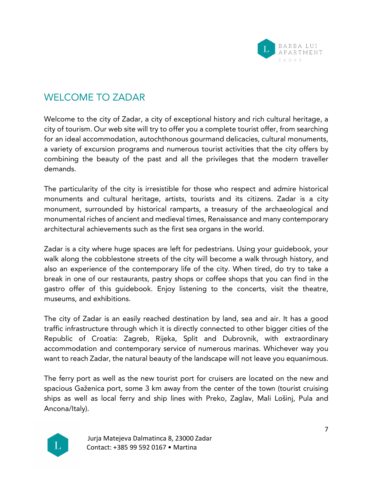

# WELCOME TO ZADAR

Welcome to the city of Zadar, a city of exceptional history and rich cultural heritage, a city of tourism. Our web site will try to offer you a complete tourist offer, from searching for an ideal accommodation, autochthonous gourmand delicacies, cultural monuments, a variety of excursion programs and numerous tourist activities that the city offers by combining the beauty of the past and all the privileges that the modern traveller demands.

The particularity of the city is irresistible for those who respect and admire historical monuments and cultural heritage, artists, tourists and its citizens. Zadar is a city monument, surrounded by historical ramparts, a treasury of the archaeological and monumental riches of ancient and medieval times, Renaissance and many contemporary architectural achievements such as the first sea organs in the world.

Zadar is a city where huge spaces are left for pedestrians. Using your guidebook, your walk along the cobblestone streets of the city will become a walk through history, and also an experience of the contemporary life of the city. When tired, do try to take a break in one of our restaurants, pastry shops or coffee shops that you can find in the gastro offer of this guidebook. Enjoy listening to the concerts, visit the theatre, museums, and exhibitions.

The city of Zadar is an easily reached destination by land, sea and air. It has a good traffic infrastructure through which it is directly connected to other bigger cities of the Republic of Croatia: Zagreb, Rijeka, Split and Dubrovnik, with extraordinary accommodation and contemporary service of numerous marinas. Whichever way you want to reach Zadar, the natural beauty of the landscape will not leave you equanimous.

The ferry port as well as the new tourist port for cruisers are located on the new and spacious Gaženica port, some 3 km away from the center of the town (tourist cruising ships as well as local ferry and ship lines with Preko, Zaglav, Mali Lošinj, Pula and Ancona/Italy).

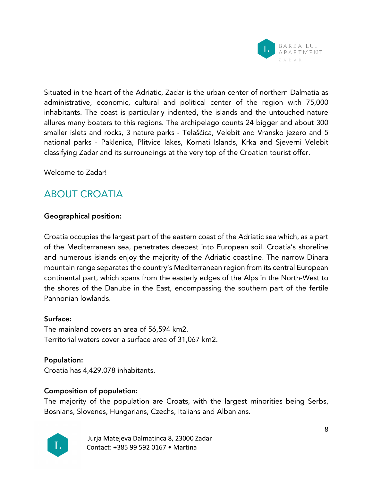

Situated in the heart of the Adriatic, Zadar is the urban center of northern Dalmatia as administrative, economic, cultural and political center of the region with 75,000 inhabitants. The coast is particularly indented, the islands and the untouched nature allures many boaters to this regions. The archipelago counts 24 bigger and about 300 smaller islets and rocks, 3 nature parks - Telašćica, Velebit and Vransko jezero and 5 national parks - Paklenica, Plitvice lakes, Kornati Islands, Krka and Sjeverni Velebit classifying Zadar and its surroundings at the very top of the Croatian tourist offer.

Welcome to Zadar!

# ABOUT CROATIA

## Geographical position:

Croatia occupies the largest part of the eastern coast of the Adriatic sea which, as a part of the Mediterranean sea, penetrates deepest into European soil. Croatia's shoreline and numerous islands enjoy the majority of the Adriatic coastline. The narrow Dinara mountain range separates the country's Mediterranean region from its central European continental part, which spans from the easterly edges of the Alps in the North-West to the shores of the Danube in the East, encompassing the southern part of the fertile Pannonian lowlands.

## Surface:

The mainland covers an area of 56,594 km2. Territorial waters cover a surface area of 31,067 km2.

## Population:

Croatia has 4,429,078 inhabitants.

## Composition of population:

The majority of the population are Croats, with the largest minorities being Serbs, Bosnians, Slovenes, Hungarians, Czechs, Italians and Albanians.

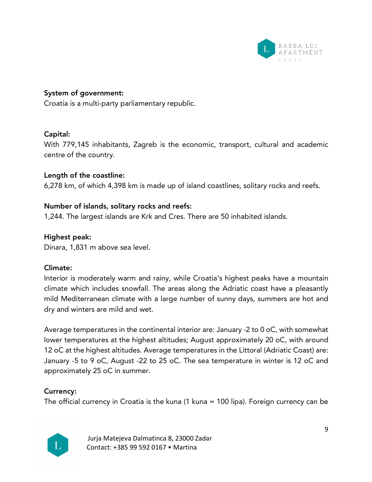

## System of government:

Croatia is a multi-party parliamentary republic.

#### Capital:

With 779,145 inhabitants, Zagreb is the economic, transport, cultural and academic centre of the country.

#### Length of the coastline:

6,278 km, of which 4,398 km is made up of island coastlines, solitary rocks and reefs.

#### Number of islands, solitary rocks and reefs:

1,244. The largest islands are Krk and Cres. There are 50 inhabited islands.

## Highest peak:

Dinara, 1,831 m above sea level.

#### Climate:

Interior is moderately warm and rainy, while Croatia's highest peaks have a mountain climate which includes snowfall. The areas along the Adriatic coast have a pleasantly mild Mediterranean climate with a large number of sunny days, summers are hot and dry and winters are mild and wet.

Average temperatures in the continental interior are: January -2 to 0 oC, with somewhat lower temperatures at the highest altitudes; August approximately 20 oC, with around 12 oC at the highest altitudes. Average temperatures in the Littoral (Adriatic Coast) are: January -5 to 9 oC, August -22 to 25 oC. The sea temperature in winter is 12 oC and approximately 25 oC in summer.

## Currency:

The official currency in Croatia is the kuna (1 kuna = 100 lipa). Foreign currency can be

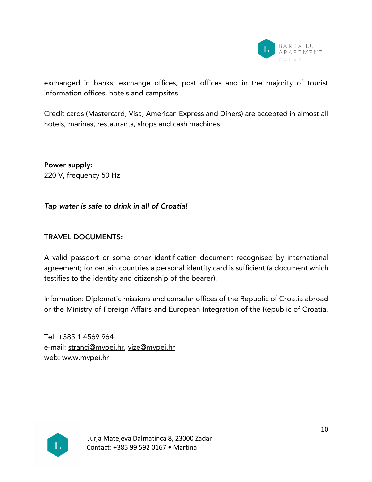

exchanged in banks, exchange offices, post offices and in the majority of tourist information offices, hotels and campsites.

Credit cards (Mastercard, Visa, American Express and Diners) are accepted in almost all hotels, marinas, restaurants, shops and cash machines.

Power supply: 220 V, frequency 50 Hz

*Tap water is safe to drink in all of Croatia!*

## TRAVEL DOCUMENTS:

A valid passport or some other identification document recognised by international agreement; for certain countries a personal identity card is sufficient (a document which testifies to the identity and citizenship of the bearer).

Information: Diplomatic missions and consular offices of the Republic of Croatia abroad or the Ministry of Foreign Affairs and European Integration of the Republic of Croatia.

Tel: +385 1 4569 964 e-mail: stranci@mvpei.hr, vize@mvpei.hr web: www.mvpei.hr

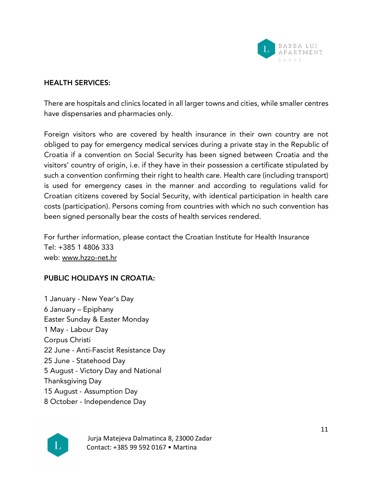

#### HEALTH SERVICES:

There are hospitals and clinics located in all larger towns and cities, while smaller centres have dispensaries and pharmacies only.

Foreign visitors who are covered by health insurance in their own country are not obliged to pay for emergency medical services during a private stay in the Republic of Croatia if a convention on Social Security has been signed between Croatia and the visitors' country of origin, i.e. if they have in their possession a certificate stipulated by such a convention confirming their right to health care. Health care (including transport) is used for emergency cases in the manner and according to regulations valid for Croatian citizens covered by Social Security, with identical participation in health care costs (participation). Persons coming from countries with which no such convention has been signed personally bear the costs of health services rendered.

For further information, please contact the Croatian Institute for Health Insurance Tel: +385 1 4806 333 web: www.hzzo-net.hr

## PUBLIC HOLIDAYS IN CROATIA:

 January - New Year's Day January – Epiphany Easter Sunday & Easter Monday May - Labour Day Corpus Christi June - Anti-Fascist Resistance Day June - Statehood Day August - Victory Day and National Thanksgiving Day August - Assumption Day October - Independence Day

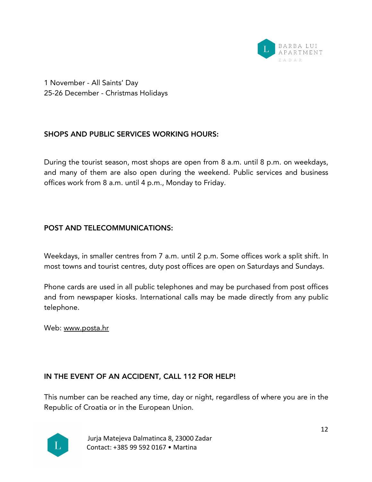

1 November - All Saints' Day 25-26 December - Christmas Holidays

# SHOPS AND PUBLIC SERVICES WORKING HOURS:

During the tourist season, most shops are open from 8 a.m. until 8 p.m. on weekdays, and many of them are also open during the weekend. Public services and business offices work from 8 a.m. until 4 p.m., Monday to Friday.

# POST AND TELECOMMUNICATIONS:

Weekdays, in smaller centres from 7 a.m. until 2 p.m. Some offices work a split shift. In most towns and tourist centres, duty post offices are open on Saturdays and Sundays.

Phone cards are used in all public telephones and may be purchased from post offices and from newspaper kiosks. International calls may be made directly from any public telephone.

Web: www.posta.hr

# IN THE EVENT OF AN ACCIDENT, CALL 112 FOR HELP!

This number can be reached any time, day or night, regardless of where you are in the Republic of Croatia or in the European Union.

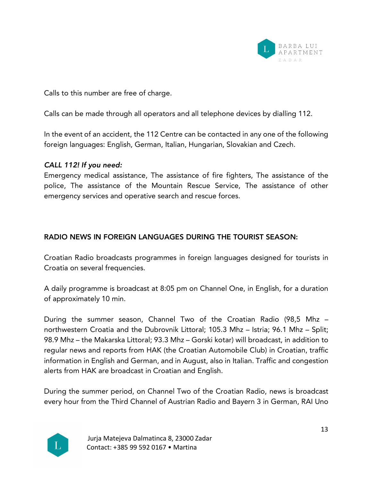

Calls to this number are free of charge.

Calls can be made through all operators and all telephone devices by dialling 112.

In the event of an accident, the 112 Centre can be contacted in any one of the following foreign languages: English, German, Italian, Hungarian, Slovakian and Czech.

#### *CALL 112! If you need:*

Emergency medical assistance, The assistance of fire fighters, The assistance of the police, The assistance of the Mountain Rescue Service, The assistance of other emergency services and operative search and rescue forces.

# RADIO NEWS IN FOREIGN LANGUAGES DURING THE TOURIST SEASON:

Croatian Radio broadcasts programmes in foreign languages designed for tourists in Croatia on several frequencies.

A daily programme is broadcast at 8:05 pm on Channel One, in English, for a duration of approximately 10 min.

During the summer season, Channel Two of the Croatian Radio (98,5 Mhz – northwestern Croatia and the Dubrovnik Littoral; 105.3 Mhz – Istria; 96.1 Mhz – Split; 98.9 Mhz – the Makarska Littoral; 93.3 Mhz – Gorski kotar) will broadcast, in addition to regular news and reports from HAK (the Croatian Automobile Club) in Croatian, traffic information in English and German, and in August, also in Italian. Traffic and congestion alerts from HAK are broadcast in Croatian and English.

During the summer period, on Channel Two of the Croatian Radio, news is broadcast every hour from the Third Channel of Austrian Radio and Bayern 3 in German, RAI Uno